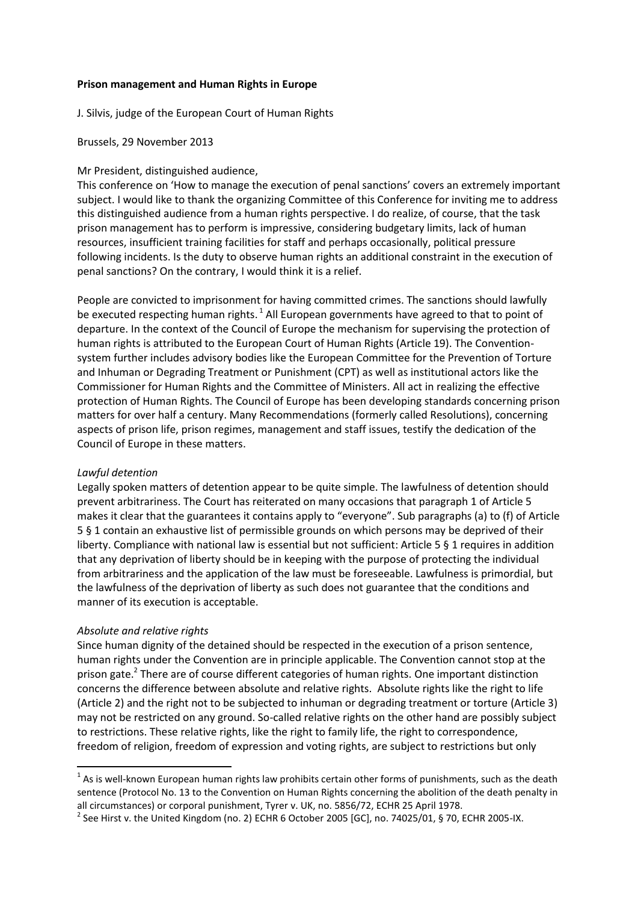## **Prison management and Human Rights in Europe**

## J. Silvis, judge of the European Court of Human Rights

## Brussels, 29 November 2013

## Mr President, distinguished audience,

This conference on 'How to manage the execution of penal sanctions' covers an extremely important subject. I would like to thank the organizing Committee of this Conference for inviting me to address this distinguished audience from a human rights perspective. I do realize, of course, that the task prison management has to perform is impressive, considering budgetary limits, lack of human resources, insufficient training facilities for staff and perhaps occasionally, political pressure following incidents. Is the duty to observe human rights an additional constraint in the execution of penal sanctions? On the contrary, I would think it is a relief.

People are convicted to imprisonment for having committed crimes. The sanctions should lawfully be executed respecting human rights.<sup>1</sup> All European governments have agreed to that to point of departure. In the context of the Council of Europe the mechanism for supervising the protection of human rights is attributed to the European Court of Human Rights (Article 19). The Conventionsystem further includes advisory bodies like the European Committee for the Prevention of Torture and Inhuman or Degrading Treatment or Punishment (CPT) as well as institutional actors like the Commissioner for Human Rights and the Committee of Ministers. All act in realizing the effective protection of Human Rights. The Council of Europe has been developing standards concerning prison matters for over half a century. Many Recommendations (formerly called Resolutions), concerning aspects of prison life, prison regimes, management and staff issues, testify the dedication of the Council of Europe in these matters.

# *Lawful detention*

Legally spoken matters of detention appear to be quite simple. The lawfulness of detention should prevent arbitrariness. The Court has reiterated on many occasions that paragraph 1 of Article 5 makes it clear that the guarantees it contains apply to "everyone". Sub paragraphs (a) to (f) of Article 5 § 1 contain an exhaustive list of permissible grounds on which persons may be deprived of their liberty. Compliance with national law is essential but not sufficient: Article 5 § 1 requires in addition that any deprivation of liberty should be in keeping with the purpose of protecting the individual from arbitrariness and the application of the law must be foreseeable. Lawfulness is primordial, but the lawfulness of the deprivation of liberty as such does not guarantee that the conditions and manner of its execution is acceptable.

# *Absolute and relative rights*

1

Since human dignity of the detained should be respected in the execution of a prison sentence, human rights under the Convention are in principle applicable. The Convention cannot stop at the prison gate.<sup>2</sup> There are of course different categories of human rights. One important distinction concerns the difference between absolute and relative rights. Absolute rights like the right to life (Article 2) and the right not to be subjected to inhuman or degrading treatment or torture (Article 3) may not be restricted on any ground. So-called relative rights on the other hand are possibly subject to restrictions. These relative rights, like the right to family life, the right to correspondence, freedom of religion, freedom of expression and voting rights, are subject to restrictions but only

 $<sup>1</sup>$  As is well-known European human rights law prohibits certain other forms of punishments, such as the death</sup> sentence (Protocol No. 13 to the Convention on Human Rights concerning the abolition of the death penalty in all circumstances) or corporal punishment, Tyrer v. UK, no. 5856/72, ECHR 25 April 1978.

 $^2$  See Hirst v. the United Kingdom (no. 2) ECHR 6 October 2005 [GC], no. 74025/01, § 70, ECHR 2005-IX.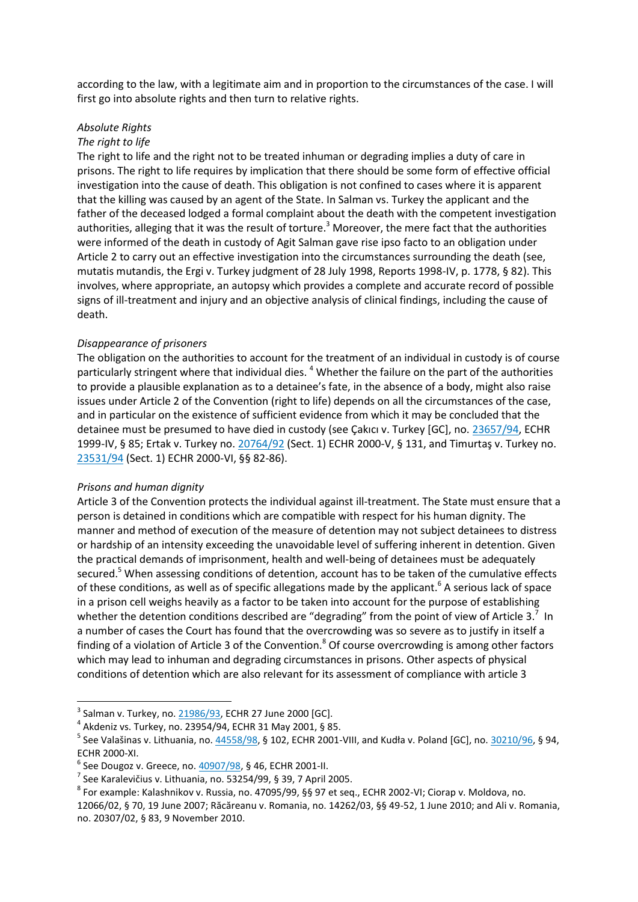according to the law, with a legitimate aim and in proportion to the circumstances of the case. I will first go into absolute rights and then turn to relative rights.

# *Absolute Rights*

## *The right to life*

The right to life and the right not to be treated inhuman or degrading implies a duty of care in prisons. The right to life requires by implication that there should be some form of effective official investigation into the cause of death. This obligation is not confined to cases where it is apparent that the killing was caused by an agent of the State. In Salman vs. Turkey the applicant and the father of the deceased lodged a formal complaint about the death with the competent investigation authorities, alleging that it was the result of torture.<sup>3</sup> Moreover, the mere fact that the authorities were informed of the death in custody of Agit Salman gave rise ipso facto to an obligation under Article 2 to carry out an effective investigation into the circumstances surrounding the death (see, mutatis mutandis, the Ergi v. Turkey judgment of 28 July 1998, Reports 1998-IV, p. 1778, § 82). This involves, where appropriate, an autopsy which provides a complete and accurate record of possible signs of ill-treatment and injury and an objective analysis of clinical findings, including the cause of death.

## *Disappearance of prisoners*

The obligation on the authorities to account for the treatment of an individual in custody is of course particularly stringent where that individual dies.<sup>4</sup> Whether the failure on the part of the authorities to provide a plausible explanation as to a detainee's fate, in the absence of a body, might also raise issues under Article 2 of the Convention (right to life) depends on all the circumstances of the case, and in particular on the existence of sufficient evidence from which it may be concluded that the detainee must be presumed to have died in custody (see Çakıcı v. Turkey [GC], no. [23657/94,](http://hudoc.echr.coe.int/sites/eng/Pages/search.aspx#{"appno":["23657/94"]}) ECHR 1999-IV, § 85; Ertak v. Turkey no. [20764/92](http://hudoc.echr.coe.int/sites/eng/Pages/search.aspx#{"appno":["20764/92"]}) (Sect. 1) ECHR 2000-V, § 131, and Timurtaş v. Turkey no. [23531/94](http://hudoc.echr.coe.int/sites/eng/Pages/search.aspx#{"appno":["23531/94"]}) (Sect. 1) ECHR 2000-VI, §§ 82-86).

#### *Prisons and human dignity*

Article 3 of the Convention protects the individual against ill-treatment. The State must ensure that a person is detained in conditions which are compatible with respect for his human dignity. The manner and method of execution of the measure of detention may not subject detainees to distress or hardship of an intensity exceeding the unavoidable level of suffering inherent in detention. Given the practical demands of imprisonment, health and well-being of detainees must be adequately secured.<sup>5</sup> When assessing conditions of detention, account has to be taken of the cumulative effects of these conditions, as well as of specific allegations made by the applicant.<sup>6</sup> A serious lack of space in a prison cell weighs heavily as a factor to be taken into account for the purpose of establishing whether the detention conditions described are "degrading" from the point of view of Article 3.<sup>7</sup> In a number of cases the Court has found that the overcrowding was so severe as to justify in itself a finding of a violation of Article 3 of the Convention.<sup>8</sup> Of course overcrowding is among other factors which may lead to inhuman and degrading circumstances in prisons. Other aspects of physical conditions of detention which are also relevant for its assessment of compliance with article 3

 3 Salman v. Turkey, no[. 21986/93,](http://hudoc.echr.coe.int/sites/eng/Pages/search.aspx#{"appno":["21986/93"]}) ECHR 27 June 2000 [GC].

<sup>4</sup> Akdeniz vs. Turkey, no. 23954/94, ECHR 31 May 2001, § 85.

<sup>&</sup>lt;sup>5</sup> See Valašinas v. Lithuania, no. <u>44558/98</u>, § 102, ECHR 2001-VIII, and Kudła v. Poland [GC], no. <u>30210/96</u>, § 94, ECHR 2000-XI.

<sup>&</sup>lt;sup>6</sup> See Dougoz v. Greece, no. <u>40907/98</u>, § 46, ECHR 2001-II.

<sup>7</sup> See Karalevičius v. Lithuania, no. 53254/99, § 39, 7 April 2005.

<sup>8</sup> For example: Kalashnikov v. Russia, no. 47095/99, §§ 97 et seq., ECHR 2002-VI; Ciorap v. Moldova, no.

<sup>12066/02, § 70, 19</sup> June 2007; Răcăreanu v. Romania, no. 14262/03, §§ 49-52, 1 June 2010; and Ali v. Romania, no. 20307/02, § 83, 9 November 2010.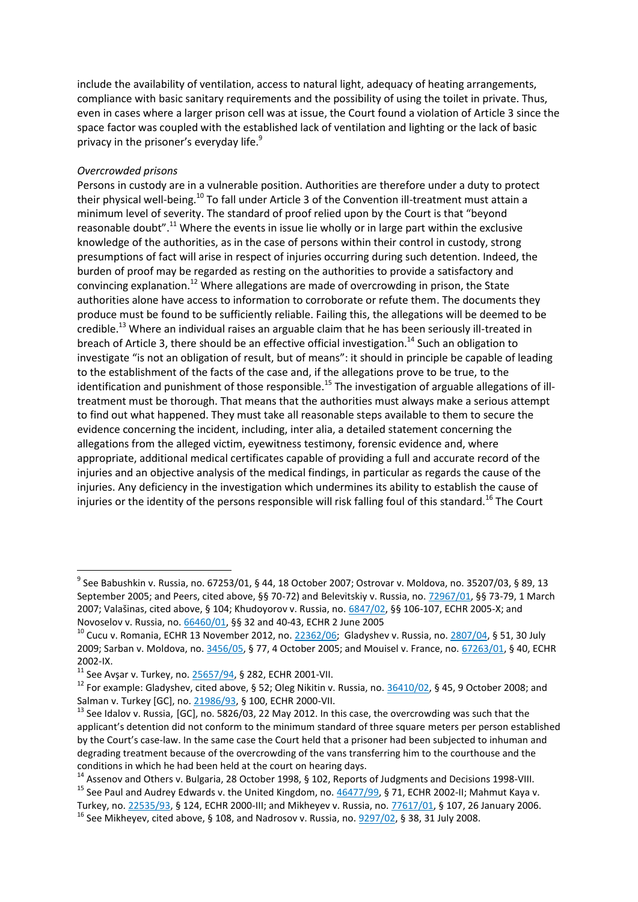include the availability of ventilation, access to natural light, adequacy of heating arrangements, compliance with basic sanitary requirements and the possibility of using the toilet in private. Thus, even in cases where a larger prison cell was at issue, the Court found a violation of Article 3 since the space factor was coupled with the established lack of ventilation and lighting or the lack of basic privacy in the prisoner's everyday life.<sup>9</sup>

## *Overcrowded prisons*

Persons in custody are in a vulnerable position. Authorities are therefore under a duty to protect their physical well-being.<sup>10</sup> To fall under Article 3 of the Convention ill-treatment must attain a minimum level of severity. The standard of proof relied upon by the Court is that "beyond reasonable doubt".<sup>11</sup> Where the events in issue lie wholly or in large part within the exclusive knowledge of the authorities, as in the case of persons within their control in custody, strong presumptions of fact will arise in respect of injuries occurring during such detention. Indeed, the burden of proof may be regarded as resting on the authorities to provide a satisfactory and convincing explanation.<sup>12</sup> Where allegations are made of overcrowding in prison, the State authorities alone have access to information to corroborate or refute them. The documents they produce must be found to be sufficiently reliable. Failing this, the allegations will be deemed to be credible.<sup>13</sup> Where an individual raises an arguable claim that he has been seriously ill-treated in breach of Article 3, there should be an effective official investigation.<sup>14</sup> Such an obligation to investigate "is not an obligation of result, but of means": it should in principle be capable of leading to the establishment of the facts of the case and, if the allegations prove to be true, to the identification and punishment of those responsible.<sup>15</sup> The investigation of arguable allegations of illtreatment must be thorough. That means that the authorities must always make a serious attempt to find out what happened. They must take all reasonable steps available to them to secure the evidence concerning the incident, including, inter alia, a detailed statement concerning the allegations from the alleged victim, eyewitness testimony, forensic evidence and, where appropriate, additional medical certificates capable of providing a full and accurate record of the injuries and an objective analysis of the medical findings, in particular as regards the cause of the injuries. Any deficiency in the investigation which undermines its ability to establish the cause of injuries or the identity of the persons responsible will risk falling foul of this standard.<sup>16</sup> The Court

 9 See Babushkin v. Russia, no. 67253/01, § 44, 18 October 2007; Ostrovar v. Moldova, no. 35207/03, § 89, 13 September 2005; and Peers, cited above, §§ 70-72) and Belevitskiy v. Russia, no. [72967/01,](http://hudoc.echr.coe.int/sites/eng/Pages/search.aspx#{"appno":["72967/01"]}) §§ 73-79, 1 March 2007; Valašinas, cited above, § 104; Khudoyorov v. Russia, no. [6847/02,](http://hudoc.echr.coe.int/sites/eng/Pages/search.aspx#{"appno":["6847/02"]}) §§ 106-107, ECHR 2005-X; and Novoselov v. Russia, no[. 66460/01,](http://hudoc.echr.coe.int/sites/eng/Pages/search.aspx#{"appno":["66460/01"]}) §§ 32 and 40-43, ECHR 2 June 2005

 $10$  Cucu v. Romania, ECHR 13 November 2012, no. [22362/06;](http://hudoc.echr.coe.int/sites/eng/Pages/search.aspx#{"appno":["22362/06"]}) Gladyshev v. Russia, no[. 2807/04,](http://hudoc.echr.coe.int/sites/eng/Pages/search.aspx#{"appno":["2807/04"]}) § 51, 30 July 2009; Sarban v. Moldova, no. [3456/05,](http://hudoc.echr.coe.int/sites/eng/Pages/search.aspx#{"appno":["3456/05"]}) § 77, 4 October 2005; and Mouisel v. France, no. [67263/01,](http://hudoc.echr.coe.int/sites/eng/Pages/search.aspx#{"appno":["67263/01"]}) § 40, ECHR 2002-IX.

 $11$  See Avsar v. Turkey, no. [25657/94,](http://hudoc.echr.coe.int/sites/eng/Pages/search.aspx#{"appno":["25657/94"]}) § 282, ECHR 2001-VII.

<sup>&</sup>lt;sup>12</sup> For example: Gladyshev, cited above, § 52; Oleg Nikitin v. Russia, no. [36410/02,](http://hudoc.echr.coe.int/sites/eng/Pages/search.aspx#{"appno":["36410/02"]}) § 45, 9 October 2008; and Salman v. Turkey [GC], no. [21986/93,](http://hudoc.echr.coe.int/sites/eng/Pages/search.aspx#{"appno":["21986/93"]}) § 100, ECHR 2000-VII.

<sup>13</sup> See Idalov v. Russia, [GC], no. 5826/03, 22 May 2012. In this case, the overcrowding was such that the applicant's detention did not conform to the minimum standard of three square meters per person established by the Court's case-law. In the same case the Court held that a prisoner had been subjected to inhuman and degrading treatment because of the overcrowding of the vans transferring him to the courthouse and the conditions in which he had been held at the court on hearing days.

<sup>&</sup>lt;sup>14</sup> Assenov and Others v. Bulgaria, 28 October 1998, § 102, Reports of Judgments and Decisions 1998-VIII.

<sup>&</sup>lt;sup>15</sup> See Paul and Audrey Edwards v. the United Kingdom, no.  $46477/99$ , § 71, ECHR 2002-II; Mahmut Kaya v. Turkey, no[. 22535/93,](http://hudoc.echr.coe.int/sites/eng/Pages/search.aspx#{"appno":["22535/93"]}) § 124, ECHR 2000-III; and Mikheyev v. Russia, no[. 77617/01,](http://hudoc.echr.coe.int/sites/eng/Pages/search.aspx#{"appno":["77617/01"]}) § 107, 26 January 2006.

<sup>&</sup>lt;sup>16</sup> See Mikheyev, cited above, § 108, and Nadrosov v. Russia, no.  $\frac{9297}{02}$ , § 38, 31 July 2008.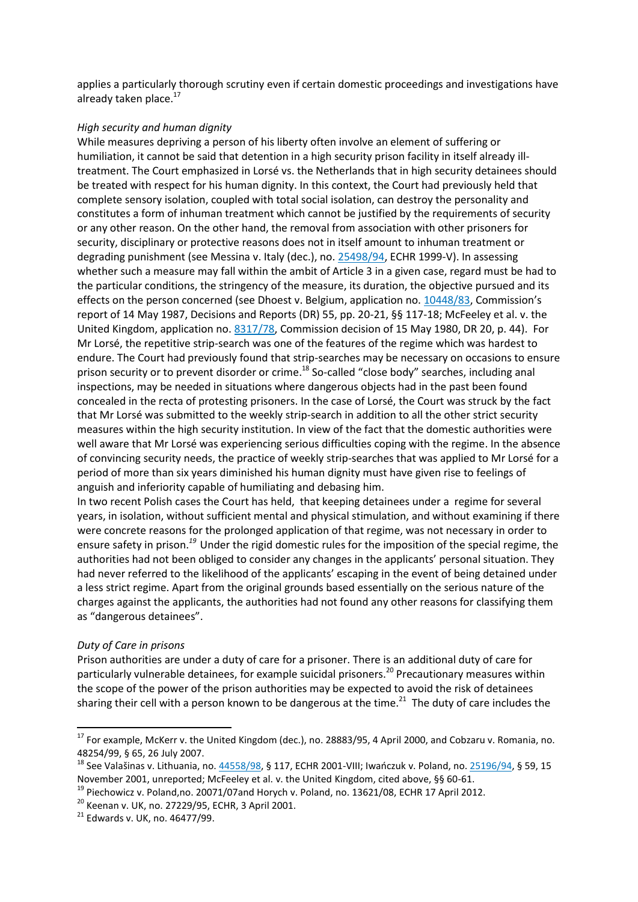applies a particularly thorough scrutiny even if certain domestic proceedings and investigations have already taken place.<sup>17</sup>

## *High security and human dignity*

While measures depriving a person of his liberty often involve an element of suffering or humiliation, it cannot be said that detention in a high security prison facility in itself already illtreatment. The Court emphasized in Lorsé vs. the Netherlands that in high security detainees should be treated with respect for his human dignity. In this context, the Court had previously held that complete sensory isolation, coupled with total social isolation, can destroy the personality and constitutes a form of inhuman treatment which cannot be justified by the requirements of security or any other reason. On the other hand, the removal from association with other prisoners for security, disciplinary or protective reasons does not in itself amount to inhuman treatment or degrading punishment (see Messina v. Italy (dec.), no[. 25498/94,](http://hudoc.echr.coe.int/sites/eng/Pages/search.aspx#{"appno":["25498/94"]}) ECHR 1999-V). In assessing whether such a measure may fall within the ambit of Article 3 in a given case, regard must be had to the particular conditions, the stringency of the measure, its duration, the objective pursued and its effects on the person concerned (see Dhoest v. Belgium, application no[. 10448/83](http://hudoc.echr.coe.int/sites/eng/Pages/search.aspx#{"appno":["10448/83"]}), Commission's report of 14 May 1987, Decisions and Reports (DR) 55, pp. 20-21, §§ 117-18; McFeeley et al. v. the United Kingdom, application no[. 8317/78,](http://hudoc.echr.coe.int/sites/eng/Pages/search.aspx#{"appno":["8317/78"]}) Commission decision of 15 May 1980, DR 20, p. 44). For Mr Lorsé, the repetitive strip-search was one of the features of the regime which was hardest to endure. The Court had previously found that strip-searches may be necessary on occasions to ensure prison security or to prevent disorder or crime.<sup>18</sup> So-called "close body" searches, including anal inspections, may be needed in situations where dangerous objects had in the past been found concealed in the recta of protesting prisoners. In the case of Lorsé, the Court was struck by the fact that Mr Lorsé was submitted to the weekly strip-search in addition to all the other strict security measures within the high security institution. In view of the fact that the domestic authorities were well aware that Mr Lorsé was experiencing serious difficulties coping with the regime. In the absence of convincing security needs, the practice of weekly strip-searches that was applied to Mr Lorsé for a period of more than six years diminished his human dignity must have given rise to feelings of anguish and inferiority capable of humiliating and debasing him.

In two recent Polish cases the Court has held, that keeping detainees under a regime for several years, in isolation, without sufficient mental and physical stimulation, and without examining if there were concrete reasons for the prolonged application of that regime, was not necessary in order to ensure safety in prison.*<sup>19</sup>* Under the rigid domestic rules for the imposition of the special regime, the authorities had not been obliged to consider any changes in the applicants' personal situation. They had never referred to the likelihood of the applicants' escaping in the event of being detained under a less strict regime. Apart from the original grounds based essentially on the serious nature of the charges against the applicants, the authorities had not found any other reasons for classifying them as "dangerous detainees".

# *Duty of Care in prisons*

**.** 

Prison authorities are under a duty of care for a prisoner. There is an additional duty of care for particularly vulnerable detainees, for example suicidal prisoners.<sup>20</sup> Precautionary measures within the scope of the power of the prison authorities may be expected to avoid the risk of detainees sharing their cell with a person known to be dangerous at the time.<sup>21</sup> The duty of care includes the

 $^{17}$  For example, McKerr v. the United Kingdom (dec.), no. 28883/95, 4 April 2000, and Cobzaru v. Romania, no. 48254/99, § 65, 26 July 2007.

<sup>&</sup>lt;sup>18</sup> See Valašinas v. Lithuania, no. [44558/98,](http://hudoc.echr.coe.int/sites/eng/Pages/search.aspx#{"appno":["44558/98"]}) § 117, ECHR 2001-VIII; Iwańczuk v. Poland, no. [25196/94,](http://hudoc.echr.coe.int/sites/eng/Pages/search.aspx#{"appno":["25196/94"]}) § 59, 15 November 2001, unreported; McFeeley et al. v. the United Kingdom, cited above, §§ 60-61.

<sup>&</sup>lt;sup>19</sup> Piechowicz v. Poland,no. 20071/07and Horych v. Poland, no. 13621/08, ECHR 17 April 2012.

<sup>20</sup> Keenan v. UK, no. 27229/95, ECHR, 3 April 2001.

 $21$  Edwards v. UK, no. 46477/99.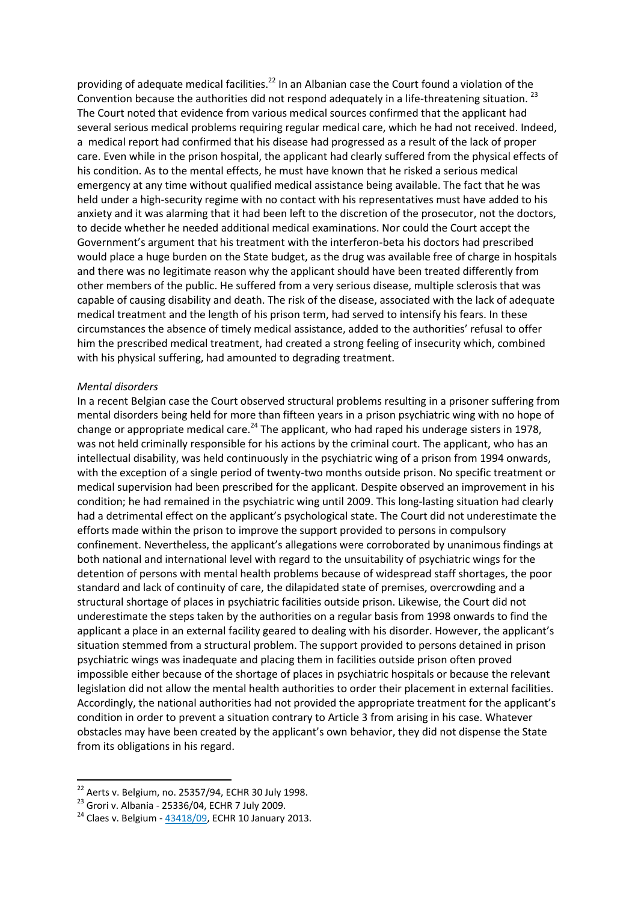providing of adequate medical facilities.<sup>22</sup> In an Albanian case the Court found a violation of the Convention because the authorities did not respond adequately in a life-threatening situation. <sup>23</sup> The Court noted that evidence from various medical sources confirmed that the applicant had several serious medical problems requiring regular medical care, which he had not received. Indeed, a medical report had confirmed that his disease had progressed as a result of the lack of proper care. Even while in the prison hospital, the applicant had clearly suffered from the physical effects of his condition. As to the mental effects, he must have known that he risked a serious medical emergency at any time without qualified medical assistance being available. The fact that he was held under a high-security regime with no contact with his representatives must have added to his anxiety and it was alarming that it had been left to the discretion of the prosecutor, not the doctors, to decide whether he needed additional medical examinations. Nor could the Court accept the Government's argument that his treatment with the interferon-beta his doctors had prescribed would place a huge burden on the State budget, as the drug was available free of charge in hospitals and there was no legitimate reason why the applicant should have been treated differently from other members of the public. He suffered from a very serious disease, multiple sclerosis that was capable of causing disability and death. The risk of the disease, associated with the lack of adequate medical treatment and the length of his prison term, had served to intensify his fears. In these circumstances the absence of timely medical assistance, added to the authorities' refusal to offer him the prescribed medical treatment, had created a strong feeling of insecurity which, combined with his physical suffering, had amounted to degrading treatment.

#### *Mental disorders*

In a recent Belgian case the Court observed structural problems resulting in a prisoner suffering from mental disorders being held for more than fifteen years in a prison psychiatric wing with no hope of change or appropriate medical care.<sup>24</sup> The applicant, who had raped his underage sisters in 1978, was not held criminally responsible for his actions by the criminal court. The applicant, who has an intellectual disability, was held continuously in the psychiatric wing of a prison from 1994 onwards, with the exception of a single period of twenty-two months outside prison. No specific treatment or medical supervision had been prescribed for the applicant. Despite observed an improvement in his condition; he had remained in the psychiatric wing until 2009. This long-lasting situation had clearly had a detrimental effect on the applicant's psychological state. The Court did not underestimate the efforts made within the prison to improve the support provided to persons in compulsory confinement. Nevertheless, the applicant's allegations were corroborated by unanimous findings at both national and international level with regard to the unsuitability of psychiatric wings for the detention of persons with mental health problems because of widespread staff shortages, the poor standard and lack of continuity of care, the dilapidated state of premises, overcrowding and a structural shortage of places in psychiatric facilities outside prison. Likewise, the Court did not underestimate the steps taken by the authorities on a regular basis from 1998 onwards to find the applicant a place in an external facility geared to dealing with his disorder. However, the applicant's situation stemmed from a structural problem. The support provided to persons detained in prison psychiatric wings was inadequate and placing them in facilities outside prison often proved impossible either because of the shortage of places in psychiatric hospitals or because the relevant legislation did not allow the mental health authorities to order their placement in external facilities. Accordingly, the national authorities had not provided the appropriate treatment for the applicant's condition in order to prevent a situation contrary to Article 3 from arising in his case. Whatever obstacles may have been created by the applicant's own behavior, they did not dispense the State from its obligations in his regard.

**.** 

<sup>&</sup>lt;sup>22</sup> Aerts v. Belgium, no. 25357/94, ECHR 30 July 1998.

<sup>23</sup> Grori v. Albania - 25336/04, ECHR 7 July 2009.

 $24$  Claes v. Belgium -  $43418/09$ , ECHR 10 January 2013.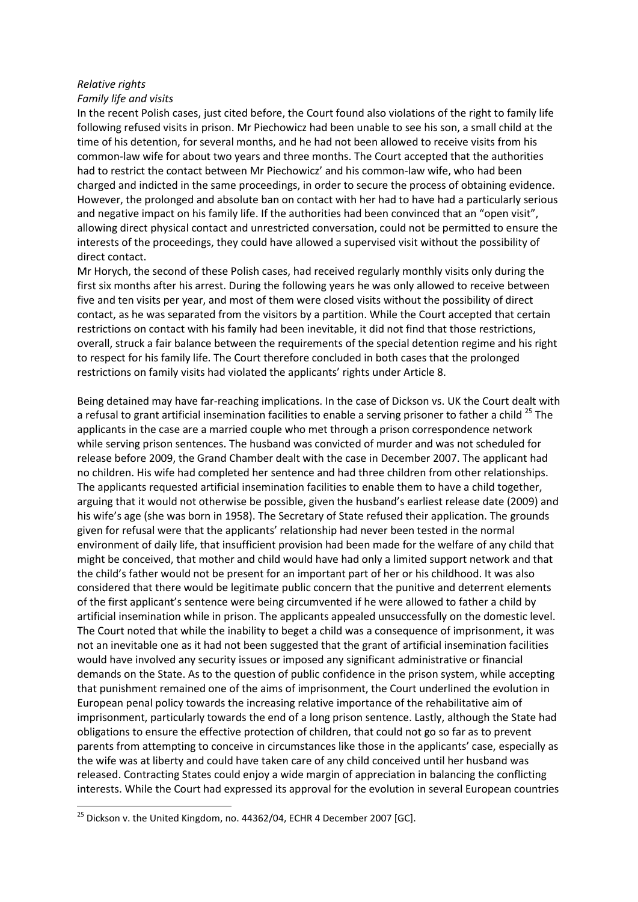# *Relative rights*

# *Family life and visits*

In the recent Polish cases, just cited before, the Court found also violations of the right to family life following refused visits in prison. Mr Piechowicz had been unable to see his son, a small child at the time of his detention, for several months, and he had not been allowed to receive visits from his common-law wife for about two years and three months. The Court accepted that the authorities had to restrict the contact between Mr Piechowicz' and his common-law wife, who had been charged and indicted in the same proceedings, in order to secure the process of obtaining evidence. However, the prolonged and absolute ban on contact with her had to have had a particularly serious and negative impact on his family life. If the authorities had been convinced that an "open visit", allowing direct physical contact and unrestricted conversation, could not be permitted to ensure the interests of the proceedings, they could have allowed a supervised visit without the possibility of direct contact.

Mr Horych, the second of these Polish cases, had received regularly monthly visits only during the first six months after his arrest. During the following years he was only allowed to receive between five and ten visits per year, and most of them were closed visits without the possibility of direct contact, as he was separated from the visitors by a partition. While the Court accepted that certain restrictions on contact with his family had been inevitable, it did not find that those restrictions, overall, struck a fair balance between the requirements of the special detention regime and his right to respect for his family life. The Court therefore concluded in both cases that the prolonged restrictions on family visits had violated the applicants' rights under Article 8.

Being detained may have far-reaching implications. In the case of Dickson vs. UK the Court dealt with a refusal to grant artificial insemination facilities to enable a serving prisoner to father a child <sup>25</sup> The applicants in the case are a married couple who met through a prison correspondence network while serving prison sentences. The husband was convicted of murder and was not scheduled for release before 2009, the Grand Chamber dealt with the case in December 2007. The applicant had no children. His wife had completed her sentence and had three children from other relationships. The applicants requested artificial insemination facilities to enable them to have a child together, arguing that it would not otherwise be possible, given the husband's earliest release date (2009) and his wife's age (she was born in 1958). The Secretary of State refused their application. The grounds given for refusal were that the applicants' relationship had never been tested in the normal environment of daily life, that insufficient provision had been made for the welfare of any child that might be conceived, that mother and child would have had only a limited support network and that the child's father would not be present for an important part of her or his childhood. It was also considered that there would be legitimate public concern that the punitive and deterrent elements of the first applicant's sentence were being circumvented if he were allowed to father a child by artificial insemination while in prison. The applicants appealed unsuccessfully on the domestic level. The Court noted that while the inability to beget a child was a consequence of imprisonment, it was not an inevitable one as it had not been suggested that the grant of artificial insemination facilities would have involved any security issues or imposed any significant administrative or financial demands on the State. As to the question of public confidence in the prison system, while accepting that punishment remained one of the aims of imprisonment, the Court underlined the evolution in European penal policy towards the increasing relative importance of the rehabilitative aim of imprisonment, particularly towards the end of a long prison sentence. Lastly, although the State had obligations to ensure the effective protection of children, that could not go so far as to prevent parents from attempting to conceive in circumstances like those in the applicants' case, especially as the wife was at liberty and could have taken care of any child conceived until her husband was released. Contracting States could enjoy a wide margin of appreciation in balancing the conflicting interests. While the Court had expressed its approval for the evolution in several European countries

**.** 

 $^{25}$  Dickson v. the United Kingdom, no. 44362/04, ECHR 4 December 2007 [GC].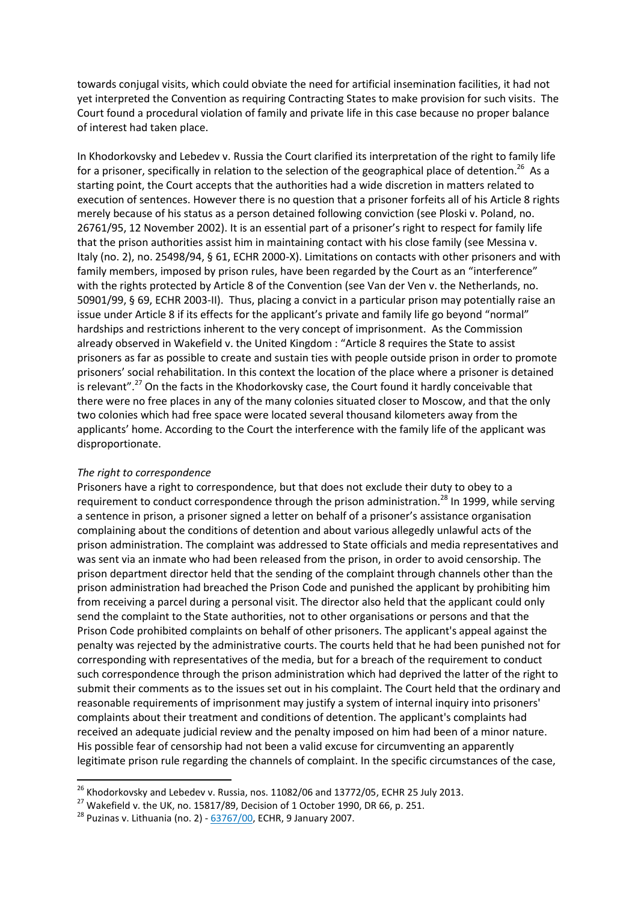towards conjugal visits, which could obviate the need for artificial insemination facilities, it had not yet interpreted the Convention as requiring Contracting States to make provision for such visits. The Court found a procedural violation of family and private life in this case because no proper balance of interest had taken place.

In Khodorkovsky and Lebedev v. Russia the Court clarified its interpretation of the right to family life for a prisoner, specifically in relation to the selection of the geographical place of detention.<sup>26</sup> As a starting point, the Court accepts that the authorities had a wide discretion in matters related to execution of sentences. However there is no question that a prisoner forfeits all of his Article 8 rights merely because of his status as a person detained following conviction (see Ploski v. Poland, no. 26761/95, 12 November 2002). It is an essential part of a prisoner's right to respect for family life that the prison authorities assist him in maintaining contact with his close family (see Messina v. Italy (no. 2), no. 25498/94, § 61, ECHR 2000-X). Limitations on contacts with other prisoners and with family members, imposed by prison rules, have been regarded by the Court as an "interference" with the rights protected by Article 8 of the Convention (see Van der Ven v. the Netherlands, no. 50901/99, § 69, ECHR 2003-II). Thus, placing a convict in a particular prison may potentially raise an issue under Article 8 if its effects for the applicant's private and family life go beyond "normal" hardships and restrictions inherent to the very concept of imprisonment. As the Commission already observed in Wakefield v. the United Kingdom : "Article 8 requires the State to assist prisoners as far as possible to create and sustain ties with people outside prison in order to promote prisoners' social rehabilitation. In this context the location of the place where a prisoner is detained is relevant".<sup>27</sup> On the facts in the Khodorkovsky case, the Court found it hardly conceivable that there were no free places in any of the many colonies situated closer to Moscow, and that the only two colonies which had free space were located several thousand kilometers away from the applicants' home. According to the Court the interference with the family life of the applicant was disproportionate.

#### *The right to correspondence*

**.** 

Prisoners have a right to correspondence, but that does not exclude their duty to obey to a requirement to conduct correspondence through the prison administration.<sup>28</sup> In 1999, while serving a sentence in prison, a prisoner signed a letter on behalf of a prisoner's assistance organisation complaining about the conditions of detention and about various allegedly unlawful acts of the prison administration. The complaint was addressed to State officials and media representatives and was sent via an inmate who had been released from the prison, in order to avoid censorship. The prison department director held that the sending of the complaint through channels other than the prison administration had breached the Prison Code and punished the applicant by prohibiting him from receiving a parcel during a personal visit. The director also held that the applicant could only send the complaint to the State authorities, not to other organisations or persons and that the Prison Code prohibited complaints on behalf of other prisoners. The applicant's appeal against the penalty was rejected by the administrative courts. The courts held that he had been punished not for corresponding with representatives of the media, but for a breach of the requirement to conduct such correspondence through the prison administration which had deprived the latter of the right to submit their comments as to the issues set out in his complaint. The Court held that the ordinary and reasonable requirements of imprisonment may justify a system of internal inquiry into prisoners' complaints about their treatment and conditions of detention. The applicant's complaints had received an adequate judicial review and the penalty imposed on him had been of a minor nature. His possible fear of censorship had not been a valid excuse for circumventing an apparently legitimate prison rule regarding the channels of complaint. In the specific circumstances of the case,

 $^{26}$  Khodorkovsky and Lebedev v. Russia, nos. 11082/06 and 13772/05, ECHR 25 July 2013.

<sup>&</sup>lt;sup>27</sup> Wakefield v. the UK, no. 15817/89, Decision of 1 October 1990, DR 66, p. 251.

 $^{28}$  Puzinas v. Lithuania (no. 2) -  $63767/00$ , ECHR, 9 January 2007.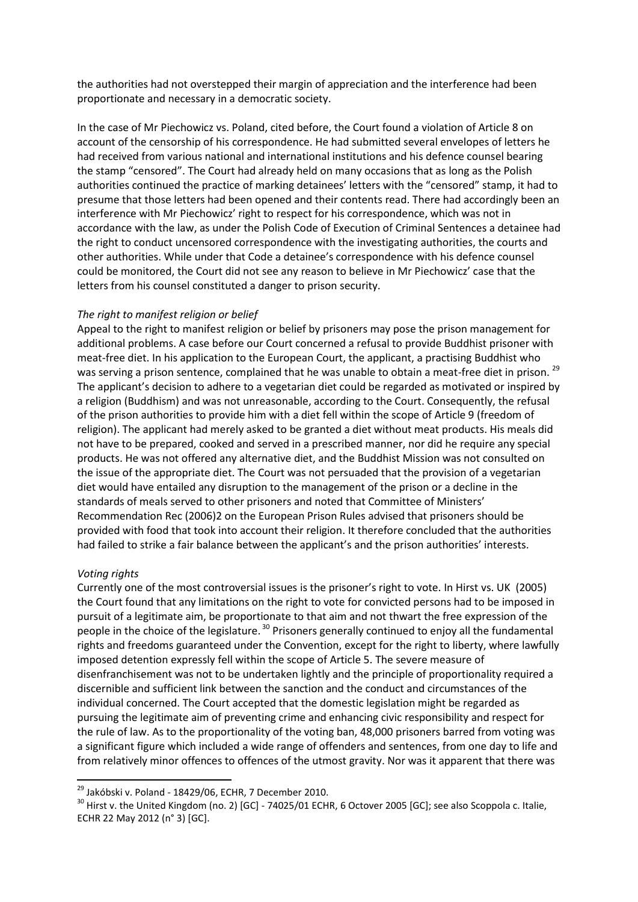the authorities had not overstepped their margin of appreciation and the interference had been proportionate and necessary in a democratic society.

In the case of Mr Piechowicz vs. Poland, cited before, the Court found a violation of Article 8 on account of the censorship of his correspondence. He had submitted several envelopes of letters he had received from various national and international institutions and his defence counsel bearing the stamp "censored". The Court had already held on many occasions that as long as the Polish authorities continued the practice of marking detainees' letters with the "censored" stamp, it had to presume that those letters had been opened and their contents read. There had accordingly been an interference with Mr Piechowicz' right to respect for his correspondence, which was not in accordance with the law, as under the Polish Code of Execution of Criminal Sentences a detainee had the right to conduct uncensored correspondence with the investigating authorities, the courts and other authorities. While under that Code a detainee's correspondence with his defence counsel could be monitored, the Court did not see any reason to believe in Mr Piechowicz' case that the letters from his counsel constituted a danger to prison security.

## *The right to manifest religion or belief*

Appeal to the right to manifest religion or belief by prisoners may pose the prison management for additional problems. A case before our Court concerned a refusal to provide Buddhist prisoner with meat-free diet. In his application to the European Court, the applicant, a practising Buddhist who was serving a prison sentence, complained that he was unable to obtain a meat-free diet in prison. <sup>29</sup> The applicant's decision to adhere to a vegetarian diet could be regarded as motivated or inspired by a religion (Buddhism) and was not unreasonable, according to the Court. Consequently, the refusal of the prison authorities to provide him with a diet fell within the scope of Article 9 (freedom of religion). The applicant had merely asked to be granted a diet without meat products. His meals did not have to be prepared, cooked and served in a prescribed manner, nor did he require any special products. He was not offered any alternative diet, and the Buddhist Mission was not consulted on the issue of the appropriate diet. The Court was not persuaded that the provision of a vegetarian diet would have entailed any disruption to the management of the prison or a decline in the standards of meals served to other prisoners and noted that Committee of Ministers' Recommendation Rec (2006)2 on the European Prison Rules advised that prisoners should be provided with food that took into account their religion. It therefore concluded that the authorities had failed to strike a fair balance between the applicant's and the prison authorities' interests.

#### *Voting rights*

**.** 

Currently one of the most controversial issues is the prisoner's right to vote. In Hirst vs. UK (2005) the Court found that any limitations on the right to vote for convicted persons had to be imposed in pursuit of a legitimate aim, be proportionate to that aim and not thwart the free expression of the people in the choice of the legislature. <sup>30</sup> Prisoners generally continued to enjoy all the fundamental rights and freedoms guaranteed under the Convention, except for the right to liberty, where lawfully imposed detention expressly fell within the scope of Article 5. The severe measure of disenfranchisement was not to be undertaken lightly and the principle of proportionality required a discernible and sufficient link between the sanction and the conduct and circumstances of the individual concerned. The Court accepted that the domestic legislation might be regarded as pursuing the legitimate aim of preventing crime and enhancing civic responsibility and respect for the rule of law. As to the proportionality of the voting ban, 48,000 prisoners barred from voting was a significant figure which included a wide range of offenders and sentences, from one day to life and from relatively minor offences to offences of the utmost gravity. Nor was it apparent that there was

<sup>&</sup>lt;sup>29</sup> Jakóbski v. Poland - 18429/06, ECHR, 7 December 2010.

 $30$  Hirst v. the United Kingdom (no. 2) [GC] - 74025/01 ECHR, 6 Octover 2005 [GC]; see also Scoppola c. Italie, ECHR 22 May 2012 (n° 3) [GC].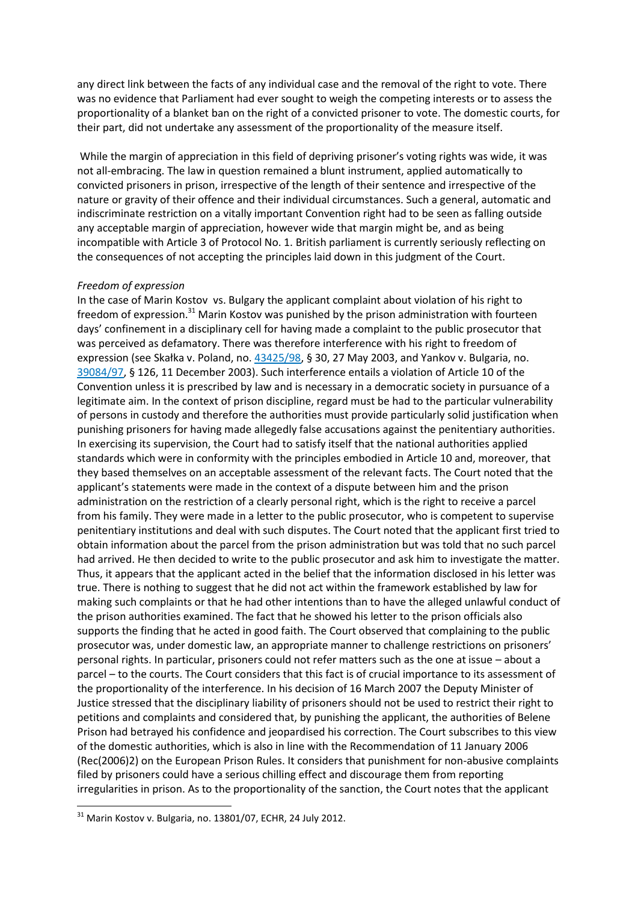any direct link between the facts of any individual case and the removal of the right to vote. There was no evidence that Parliament had ever sought to weigh the competing interests or to assess the proportionality of a blanket ban on the right of a convicted prisoner to vote. The domestic courts, for their part, did not undertake any assessment of the proportionality of the measure itself.

While the margin of appreciation in this field of depriving prisoner's voting rights was wide, it was not all-embracing. The law in question remained a blunt instrument, applied automatically to convicted prisoners in prison, irrespective of the length of their sentence and irrespective of the nature or gravity of their offence and their individual circumstances. Such a general, automatic and indiscriminate restriction on a vitally important Convention right had to be seen as falling outside any acceptable margin of appreciation, however wide that margin might be, and as being incompatible with Article 3 of Protocol No. 1. British parliament is currently seriously reflecting on the consequences of not accepting the principles laid down in this judgment of the Court.

#### *Freedom of expression*

In the case of Marin Kostov vs. Bulgary the applicant complaint about violation of his right to freedom of expression. $31$  Marin Kostov was punished by the prison administration with fourteen days' confinement in a disciplinary cell for having made a complaint to the public prosecutor that was perceived as defamatory. There was therefore interference with his right to freedom of expression (see Skałka v. Poland, no. [43425/98,](http://hudoc.echr.coe.int/sites/eng/Pages/search.aspx#{"appno":["43425/98"]}) § 30, 27 May 2003, and Yankov v. Bulgaria, no. [39084/97,](http://hudoc.echr.coe.int/sites/eng/Pages/search.aspx#{"appno":["39084/97"]}) § 126, 11 December 2003). Such interference entails a violation of Article 10 of the Convention unless it is prescribed by law and is necessary in a democratic society in pursuance of a legitimate aim. In the context of prison discipline, regard must be had to the particular vulnerability of persons in custody and therefore the authorities must provide particularly solid justification when punishing prisoners for having made allegedly false accusations against the penitentiary authorities. In exercising its supervision, the Court had to satisfy itself that the national authorities applied standards which were in conformity with the principles embodied in Article 10 and, moreover, that they based themselves on an acceptable assessment of the relevant facts. The Court noted that the applicant's statements were made in the context of a dispute between him and the prison administration on the restriction of a clearly personal right, which is the right to receive a parcel from his family. They were made in a letter to the public prosecutor, who is competent to supervise penitentiary institutions and deal with such disputes. The Court noted that the applicant first tried to obtain information about the parcel from the prison administration but was told that no such parcel had arrived. He then decided to write to the public prosecutor and ask him to investigate the matter. Thus, it appears that the applicant acted in the belief that the information disclosed in his letter was true. There is nothing to suggest that he did not act within the framework established by law for making such complaints or that he had other intentions than to have the alleged unlawful conduct of the prison authorities examined. The fact that he showed his letter to the prison officials also supports the finding that he acted in good faith. The Court observed that complaining to the public prosecutor was, under domestic law, an appropriate manner to challenge restrictions on prisoners' personal rights. In particular, prisoners could not refer matters such as the one at issue – about a parcel – to the courts. The Court considers that this fact is of crucial importance to its assessment of the proportionality of the interference. In his decision of 16 March 2007 the Deputy Minister of Justice stressed that the disciplinary liability of prisoners should not be used to restrict their right to petitions and complaints and considered that, by punishing the applicant, the authorities of Belene Prison had betrayed his confidence and jeopardised his correction. The Court subscribes to this view of the domestic authorities, which is also in line with the Recommendation of 11 January 2006 (Rec(2006)2) on the European Prison Rules. It considers that punishment for non-abusive complaints filed by prisoners could have a serious chilling effect and discourage them from reporting irregularities in prison. As to the proportionality of the sanction, the Court notes that the applicant

**.** 

 $31$  Marin Kostov v. Bulgaria, no. 13801/07, ECHR, 24 July 2012.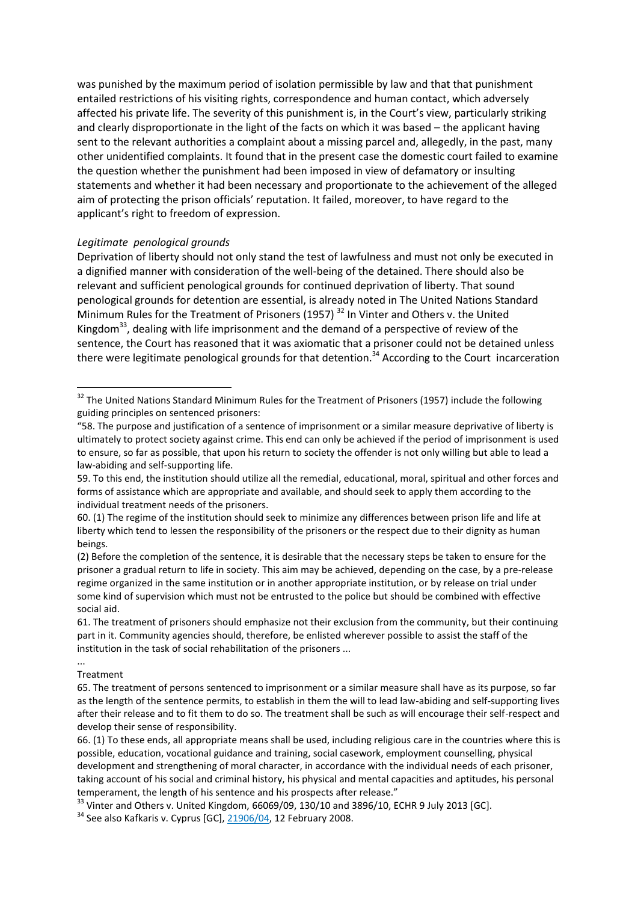was punished by the maximum period of isolation permissible by law and that that punishment entailed restrictions of his visiting rights, correspondence and human contact, which adversely affected his private life. The severity of this punishment is, in the Court's view, particularly striking and clearly disproportionate in the light of the facts on which it was based – the applicant having sent to the relevant authorities a complaint about a missing parcel and, allegedly, in the past, many other unidentified complaints. It found that in the present case the domestic court failed to examine the question whether the punishment had been imposed in view of defamatory or insulting statements and whether it had been necessary and proportionate to the achievement of the alleged aim of protecting the prison officials' reputation. It failed, moreover, to have regard to the applicant's right to freedom of expression.

# *Legitimate penological grounds*

Deprivation of liberty should not only stand the test of lawfulness and must not only be executed in a dignified manner with consideration of the well-being of the detained. There should also be relevant and sufficient penological grounds for continued deprivation of liberty. That sound penological grounds for detention are essential, is already noted in The United Nations Standard Minimum Rules for the Treatment of Prisoners (1957)<sup>32</sup> In Vinter and Others v. the United Kingdom<sup>33</sup>, dealing with life imprisonment and the demand of a perspective of review of the sentence, the Court has reasoned that it was axiomatic that a prisoner could not be detained unless there were legitimate penological grounds for that detention.<sup>34</sup> According to the Court incarceration

#### Treatment

...

 $\overline{\phantom{a}}$ 

 $32$  The United Nations Standard Minimum Rules for the Treatment of Prisoners (1957) include the following guiding principles on sentenced prisoners:

<sup>&</sup>quot;58. The purpose and justification of a sentence of imprisonment or a similar measure deprivative of liberty is ultimately to protect society against crime. This end can only be achieved if the period of imprisonment is used to ensure, so far as possible, that upon his return to society the offender is not only willing but able to lead a law-abiding and self-supporting life.

<sup>59.</sup> To this end, the institution should utilize all the remedial, educational, moral, spiritual and other forces and forms of assistance which are appropriate and available, and should seek to apply them according to the individual treatment needs of the prisoners.

<sup>60. (1)</sup> The regime of the institution should seek to minimize any differences between prison life and life at liberty which tend to lessen the responsibility of the prisoners or the respect due to their dignity as human beings.

<sup>(2)</sup> Before the completion of the sentence, it is desirable that the necessary steps be taken to ensure for the prisoner a gradual return to life in society. This aim may be achieved, depending on the case, by a pre-release regime organized in the same institution or in another appropriate institution, or by release on trial under some kind of supervision which must not be entrusted to the police but should be combined with effective social aid.

<sup>61.</sup> The treatment of prisoners should emphasize not their exclusion from the community, but their continuing part in it. Community agencies should, therefore, be enlisted wherever possible to assist the staff of the institution in the task of social rehabilitation of the prisoners ...

<sup>65.</sup> The treatment of persons sentenced to imprisonment or a similar measure shall have as its purpose, so far as the length of the sentence permits, to establish in them the will to lead law-abiding and self-supporting lives after their release and to fit them to do so. The treatment shall be such as will encourage their self-respect and develop their sense of responsibility.

<sup>66. (1)</sup> To these ends, all appropriate means shall be used, including religious care in the countries where this is possible, education, vocational guidance and training, social casework, employment counselling, physical development and strengthening of moral character, in accordance with the individual needs of each prisoner, taking account of his social and criminal history, his physical and mental capacities and aptitudes, his personal temperament, the length of his sentence and his prospects after release."

 $33$  Vinter and Others v. United Kingdom, 66069/09, 130/10 and 3896/10, ECHR 9 July 2013 [GC].

 $34$  See also Kafkaris v. Cyprus [GC], [21906/04,](http://hudoc.echr.coe.int/sites/eng/Pages/search.aspx#{"appno":["21906/04"]}) 12 February 2008.